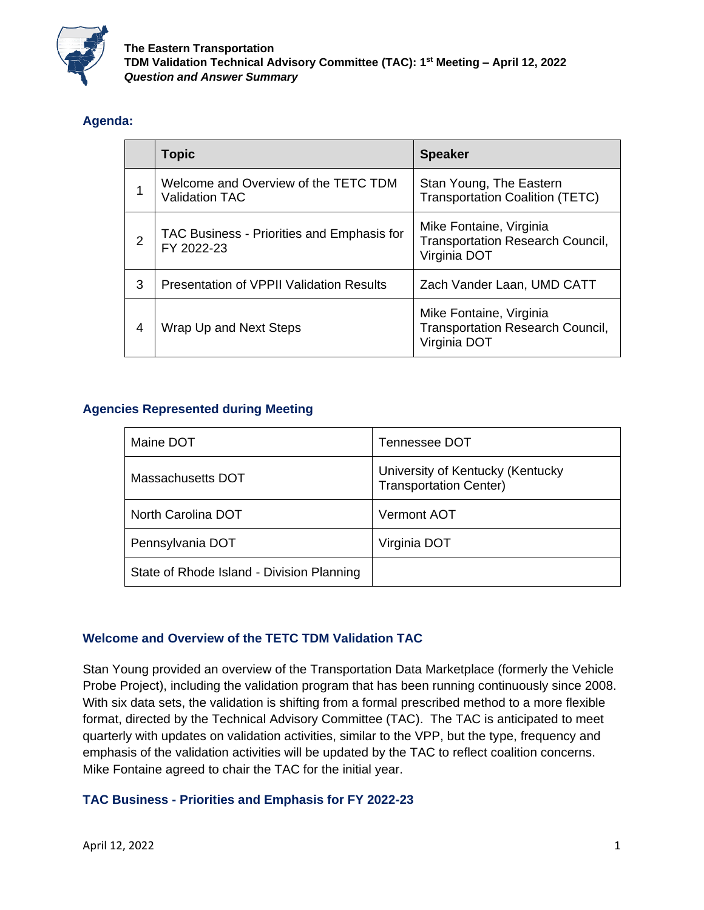

## **Agenda:**

|                | <b>Topic</b>                                                  | <b>Speaker</b>                                                                     |
|----------------|---------------------------------------------------------------|------------------------------------------------------------------------------------|
|                | Welcome and Overview of the TETC TDM<br><b>Validation TAC</b> | Stan Young, The Eastern<br><b>Transportation Coalition (TETC)</b>                  |
| $\overline{2}$ | TAC Business - Priorities and Emphasis for<br>FY 2022-23      | Mike Fontaine, Virginia<br><b>Transportation Research Council,</b><br>Virginia DOT |
| 3              | <b>Presentation of VPPII Validation Results</b>               | Zach Vander Laan, UMD CATT                                                         |
| $\overline{4}$ | Wrap Up and Next Steps                                        | Mike Fontaine, Virginia<br><b>Transportation Research Council,</b><br>Virginia DOT |

# **Agencies Represented during Meeting**

| Maine DOT                                 | Tennessee DOT                                                     |
|-------------------------------------------|-------------------------------------------------------------------|
| Massachusetts DOT                         | University of Kentucky (Kentucky<br><b>Transportation Center)</b> |
| North Carolina DOT                        | <b>Vermont AOT</b>                                                |
| Pennsylvania DOT                          | Virginia DOT                                                      |
| State of Rhode Island - Division Planning |                                                                   |

### **Welcome and Overview of the TETC TDM Validation TAC**

Stan Young provided an overview of the Transportation Data Marketplace (formerly the Vehicle Probe Project), including the validation program that has been running continuously since 2008. With six data sets, the validation is shifting from a formal prescribed method to a more flexible format, directed by the Technical Advisory Committee (TAC). The TAC is anticipated to meet quarterly with updates on validation activities, similar to the VPP, but the type, frequency and emphasis of the validation activities will be updated by the TAC to reflect coalition concerns. Mike Fontaine agreed to chair the TAC for the initial year.

### **TAC Business - Priorities and Emphasis for FY 2022-23**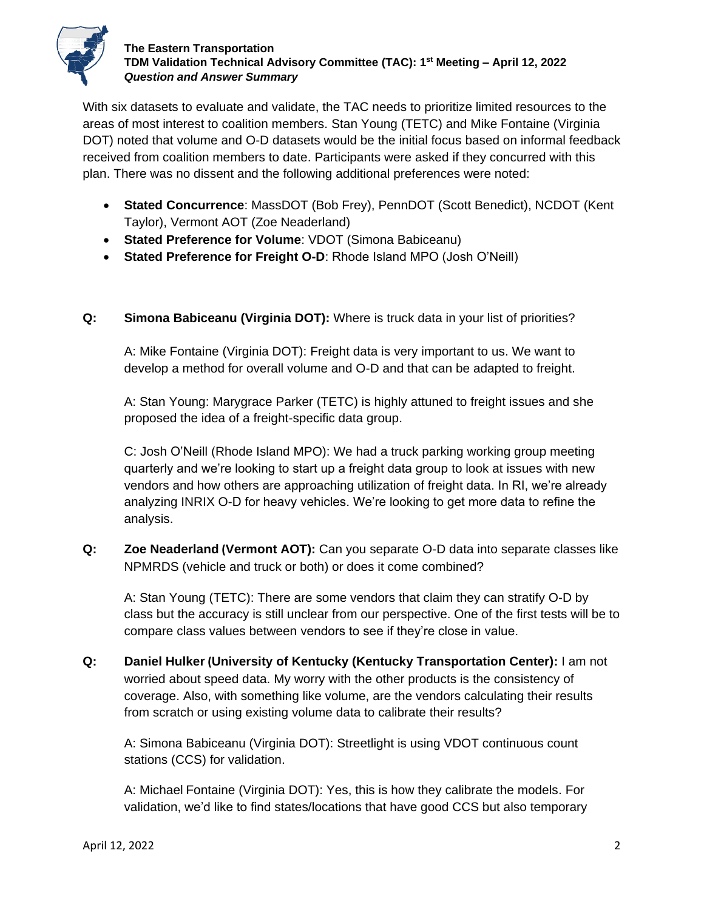

### **The Eastern Transportation TDM Validation Technical Advisory Committee (TAC): 1st Meeting – April 12, 2022** *Question and Answer Summary*

With six datasets to evaluate and validate, the TAC needs to prioritize limited resources to the areas of most interest to coalition members. Stan Young (TETC) and Mike Fontaine (Virginia DOT) noted that volume and O-D datasets would be the initial focus based on informal feedback received from coalition members to date. Participants were asked if they concurred with this plan. There was no dissent and the following additional preferences were noted:

- **Stated Concurrence**: MassDOT (Bob Frey), PennDOT (Scott Benedict), NCDOT (Kent Taylor), Vermont AOT (Zoe Neaderland)
- **Stated Preference for Volume**: VDOT (Simona Babiceanu)
- **Stated Preference for Freight O-D**: Rhode Island MPO (Josh O'Neill)

### **Q: Simona Babiceanu (Virginia DOT):** Where is truck data in your list of priorities?

A: Mike Fontaine (Virginia DOT): Freight data is very important to us. We want to develop a method for overall volume and O-D and that can be adapted to freight.

A: Stan Young: Marygrace Parker (TETC) is highly attuned to freight issues and she proposed the idea of a freight-specific data group.

C: Josh O'Neill (Rhode Island MPO): We had a truck parking working group meeting quarterly and we're looking to start up a freight data group to look at issues with new vendors and how others are approaching utilization of freight data. In RI, we're already analyzing INRIX O-D for heavy vehicles. We're looking to get more data to refine the analysis.

**Q: Zoe Neaderland (Vermont AOT):** Can you separate O-D data into separate classes like NPMRDS (vehicle and truck or both) or does it come combined?

A: Stan Young (TETC): There are some vendors that claim they can stratify O-D by class but the accuracy is still unclear from our perspective. One of the first tests will be to compare class values between vendors to see if they're close in value.

**Q: Daniel Hulker (University of Kentucky (Kentucky Transportation Center):** I am not worried about speed data. My worry with the other products is the consistency of coverage. Also, with something like volume, are the vendors calculating their results from scratch or using existing volume data to calibrate their results?

A: Simona Babiceanu (Virginia DOT): Streetlight is using VDOT continuous count stations (CCS) for validation.

A: Michael Fontaine (Virginia DOT): Yes, this is how they calibrate the models. For validation, we'd like to find states/locations that have good CCS but also temporary